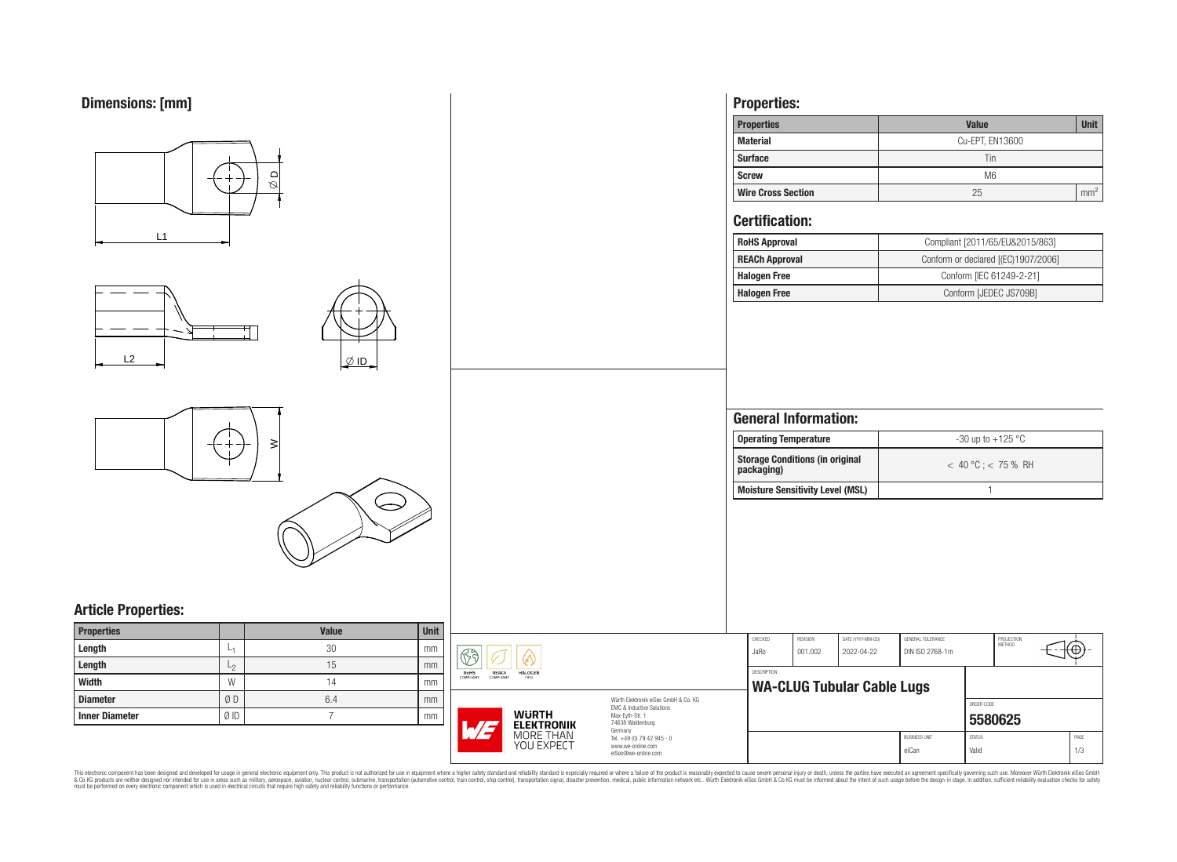

This electronic component has been designed and developed for usage in general electronic equipment only. This product is not authorized for use in equipment where a higher safely standard and reliability standard si espec & Ook product a label and the membed of the seasuch as marked and as which such a membed and the such assume that income in the seasuch and the simulation and the such assume that include to the such a membed and the such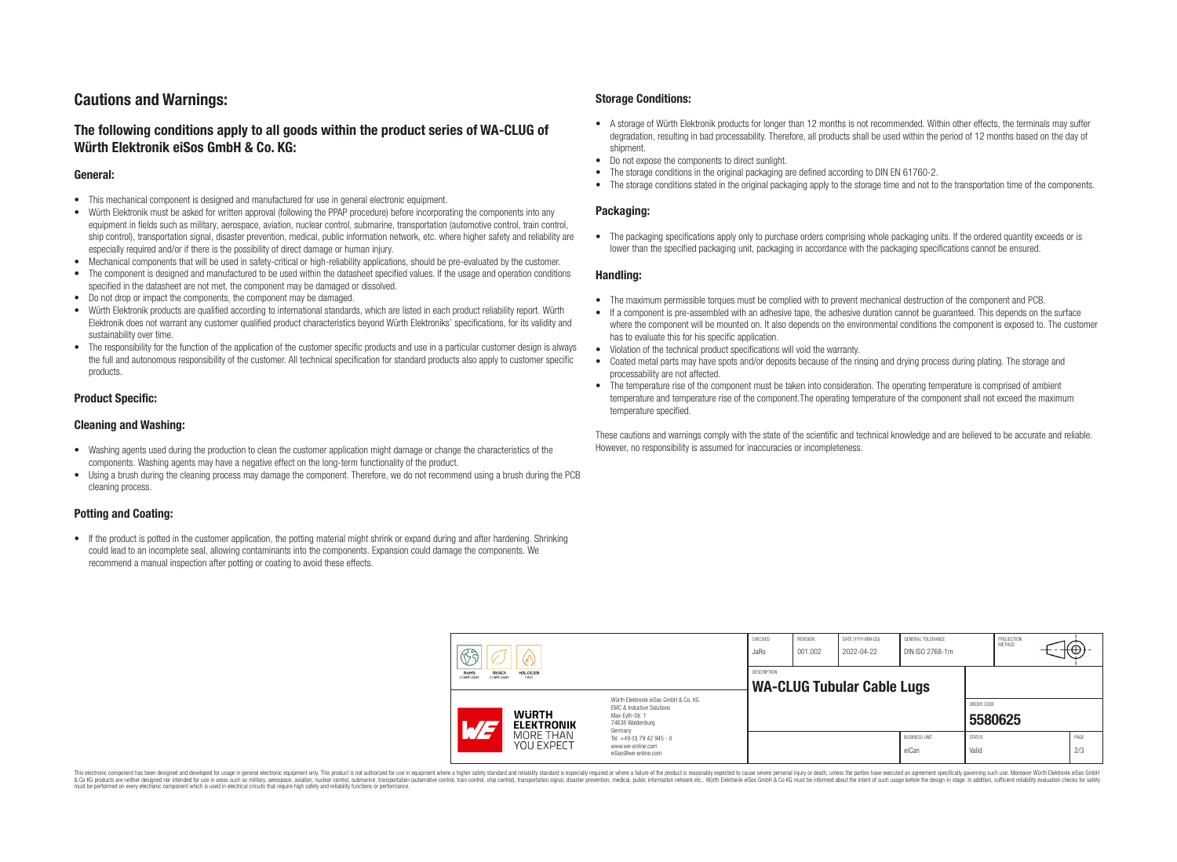# **Cautions and Warnings:**

# **The following conditions apply to all goods within the product series of WA-CLUG of Würth Elektronik eiSos GmbH & Co. KG:**

### **General:**

- This mechanical component is designed and manufactured for use in general electronic equipment.
- Würth Elektronik must be asked for written approval (following the PPAP procedure) before incorporating the components into any equipment in fields such as military, aerospace, aviation, nuclear control, submarine, transportation (automotive control, train control, ship control), transportation signal, disaster prevention, medical, public information network, etc. where higher safety and reliability are especially required and/or if there is the possibility of direct damage or human injury.
- Mechanical components that will be used in safety-critical or high-reliability applications, should be pre-evaluated by the customer.
- The component is designed and manufactured to be used within the datasheet specified values. If the usage and operation conditions specified in the datasheet are not met, the component may be damaged or dissolved.
- Do not drop or impact the components, the component may be damaged.<br>• Wirth Elektronik products are qualified according to international standard
- Würth Elektronik products are qualified according to international standards, which are listed in each product reliability report. Würth Elektronik does not warrant any customer qualified product characteristics beyond Würth Elektroniks' specifications, for its validity and sustainability over time.
- The responsibility for the function of the application of the customer specific products and use in a particular customer design is always the full and autonomous responsibility of the customer. All technical specification for standard products also apply to customer specific products.

### **Product Specific:**

### **Cleaning and Washing:**

- Washing agents used during the production to clean the customer application might damage or change the characteristics of the components. Washing agents may have a negative effect on the long-term functionality of the product.
- Using a brush during the cleaning process may damage the component. Therefore, we do not recommend using a brush during the PCB cleaning process.

## **Potting and Coating:**

• If the product is potted in the customer application, the potting material might shrink or expand during and after hardening. Shrinking could lead to an incomplete seal, allowing contaminants into the components. Expansion could damage the components. We recommend a manual inspection after potting or coating to avoid these effects.

### **Storage Conditions:**

- A storage of Würth Elektronik products for longer than 12 months is not recommended. Within other effects, the terminals may suffer degradation, resulting in bad processability. Therefore, all products shall be used within the period of 12 months based on the day of shipment.
- Do not expose the components to direct sunlight.<br>• The storage conditions in the original packaging
- The storage conditions in the original packaging are defined according to DIN EN 61760-2.
- The storage conditions stated in the original packaging apply to the storage time and not to the transportation time of the components.

### **Packaging:**

• The packaging specifications apply only to purchase orders comprising whole packaging units. If the ordered quantity exceeds or is lower than the specified packaging unit, packaging in accordance with the packaging specifications cannot be ensured.

### **Handling:**

- The maximum permissible torques must be complied with to prevent mechanical destruction of the component and PCB.
- If a component is pre-assembled with an adhesive tape, the adhesive duration cannot be guaranteed. This depends on the surface where the component will be mounted on. It also depends on the environmental conditions the component is exposed to. The customer has to evaluate this for his specific application.
- Violation of the technical product specifications will void the warranty.
- Coated metal parts may have spots and/or deposits because of the rinsing and drying process during plating. The storage and processability are not affected.
- The temperature rise of the component must be taken into consideration. The operating temperature is comprised of ambient temperature and temperature rise of the component.The operating temperature of the component shall not exceed the maximum temperature specified.

These cautions and warnings comply with the state of the scientific and technical knowledge and are believed to be accurate and reliable. However, no responsibility is assumed for inaccuracies or incompleteness.

| $\mathbb{R}$ a<br>V                                                             |                                                                     | CHECKED<br>JaRo                                                                                                                                                                               | <b>REVISION</b><br>001.002                       | DATE (YYYY-MM-DD)<br>2022-04-22 | GENERAL TOLERANCE<br>DIN ISO 2768-1m |                               | PROJECTION<br><b>METHOD</b> |                       | <del>⊣t</del> ⊕+- |             |
|---------------------------------------------------------------------------------|---------------------------------------------------------------------|-----------------------------------------------------------------------------------------------------------------------------------------------------------------------------------------------|--------------------------------------------------|---------------------------------|--------------------------------------|-------------------------------|-----------------------------|-----------------------|-------------------|-------------|
| <b>REACh</b><br><b>RoHS</b><br><b>HALOGEN</b><br>COMPLIANT<br>COMPLIANT<br>FREE |                                                                     |                                                                                                                                                                                               | DESCRIPTION<br><b>WA-CLUG Tubular Cable Lugs</b> |                                 |                                      |                               |                             |                       |                   |             |
| $\overline{\phantom{a}}$                                                        | <b>WURTH</b><br><b>ELEKTRONIK</b><br>MORE THAN<br><b>YOU EXPECT</b> | Würth Elektronik eiSos GmbH & Co. KG<br>EMC & Inductive Solutions<br>Max-Evth-Str. 1<br>74638 Waldenburg<br>Germany<br>Tel. +49 (0) 79 42 945 - 0<br>www.we-online.com<br>eiSos@we-online.com |                                                  |                                 |                                      |                               |                             | ORDER CODE<br>5580625 |                   |             |
|                                                                                 |                                                                     |                                                                                                                                                                                               |                                                  |                                 |                                      | <b>BUSINESS UNIT</b><br>eiCan | <b>STATUS</b><br>Valid      |                       |                   | PAGE<br>2/3 |

This electronic component has been designed and developed for usage in general electronic equipment only. This product is not authorized for use in equipment where a higher safety standard and reliability standard si espec & Ook product a label and the membed of the seasuch as marked and as which such a membed and the such assume that income in the seasuch and the simulation and the such assume that include to the such a membed and the such